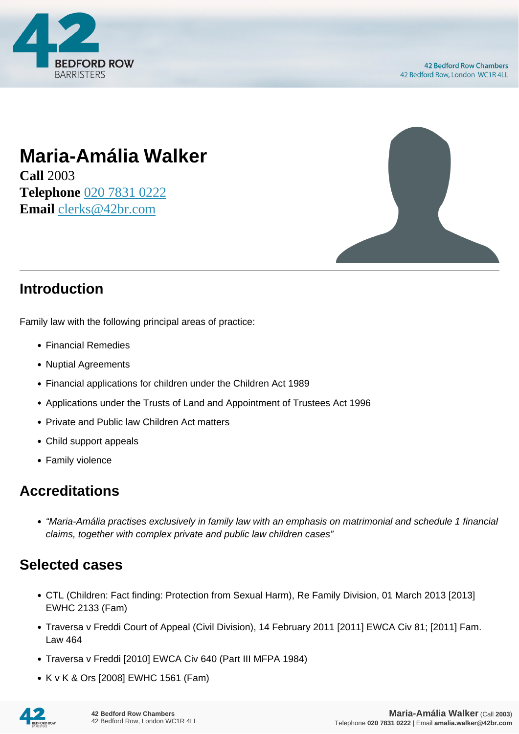

# **Maria-Amália Walker**

**Call** 2003 **Telephone** [020 7831 0222](https://pdf.codeshore.co/_42br/tel:020 7831 0222) **Email** [clerks@42br.com](mailto:clerks@42br.com)



### **Introduction**

Family law with the following principal areas of practice:

- Financial Remedies
- Nuptial Agreements
- Financial applications for children under the Children Act 1989
- Applications under the Trusts of Land and Appointment of Trustees Act 1996
- Private and Public law Children Act matters
- Child support appeals
- Family violence

#### **Accreditations**

"Maria-Amália practises exclusively in family law with an emphasis on matrimonial and schedule 1 financial claims, together with complex private and public law children cases"

#### **Selected cases**

- CTL (Children: Fact finding: Protection from Sexual Harm), Re Family Division, 01 March 2013 [2013] EWHC 2133 (Fam)
- Traversa v Freddi Court of Appeal (Civil Division), 14 February 2011 [2011] EWCA Civ 81; [2011] Fam. Law 464
- Traversa v Freddi [2010] EWCA Civ 640 (Part III MFPA 1984)
- K v K & Ors [2008] EWHC 1561 (Fam)